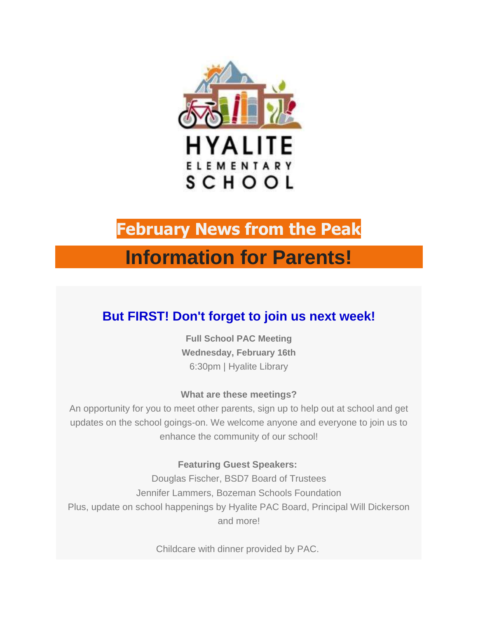

# **February News from the Peak**

# **Information for Parents!**

# **But FIRST! Don't forget to join us next week!**

**Full School PAC Meeting Wednesday, February 16th** 6:30pm | Hyalite Library

# **What are these meetings?**

An opportunity for you to meet other parents, sign up to help out at school and get updates on the school goings-on. We welcome anyone and everyone to join us to enhance the community of our school!

# **Featuring Guest Speakers:**

Douglas Fischer, BSD7 Board of Trustees Jennifer Lammers, Bozeman Schools Foundation Plus, update on school happenings by Hyalite PAC Board, Principal Will Dickerson and more!

Childcare with dinner provided by PAC.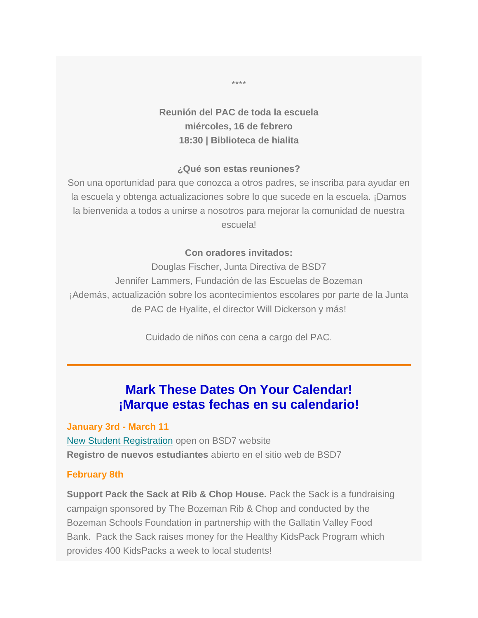# **Reunión del PAC de toda la escuela miércoles, 16 de febrero 18:30 | Biblioteca de hialita**

### **¿Qué son estas reuniones?**

Son una oportunidad para que conozca a otros padres, se inscriba para ayudar en la escuela y obtenga actualizaciones sobre lo que sucede en la escuela. ¡Damos la bienvenida a todos a unirse a nosotros para mejorar la comunidad de nuestra escuela!

#### **Con oradores invitados:**

Douglas Fischer, Junta Directiva de BSD7 Jennifer Lammers, Fundación de las Escuelas de Bozeman ¡Además, actualización sobre los acontecimientos escolares por parte de la Junta de PAC de Hyalite, el director Will Dickerson y más!

Cuidado de niños con cena a cargo del PAC.

# **Mark These Dates On Your Calendar! ¡Marque estas fechas en su calendario!**

**January 3rd - March 11**

[New Student Registration](https://hyalitepac.us14.list-manage.com/track/click?u=89982cc3448ec825f4c400e9c&id=72f153922b&e=a5d431a485) open on BSD7 website **Registro de nuevos estudiantes** abierto en el sitio web de BSD7

#### **February 8th**

**Support Pack the Sack at Rib & Chop House.** Pack the Sack is a fundraising campaign sponsored by The Bozeman Rib & Chop and conducted by the Bozeman Schools Foundation in partnership with the Gallatin Valley Food Bank. Pack the Sack raises money for the Healthy KidsPack Program which provides 400 KidsPacks a week to local students!

\*\*\*\*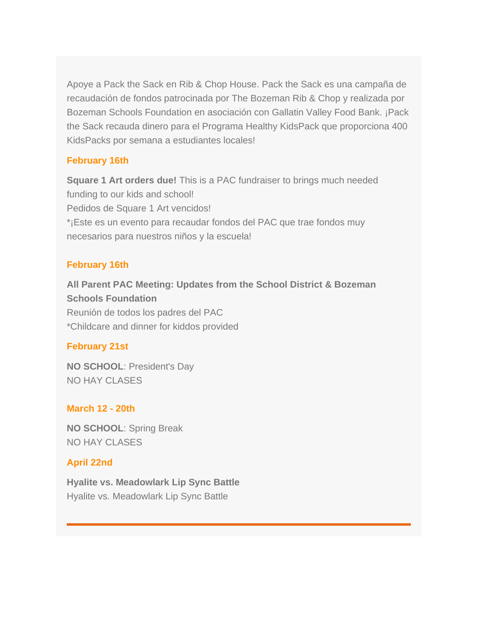Apoye a Pack the Sack en Rib & Chop House. Pack the Sack es una campaña de recaudación de fondos patrocinada por The Bozeman Rib & Chop y realizada por Bozeman Schools Foundation en asociación con Gallatin Valley Food Bank. ¡Pack the Sack recauda dinero para el Programa Healthy KidsPack que proporciona 400 KidsPacks por semana a estudiantes locales!

## **February 16th**

**Square 1 Art orders due!** This is a PAC fundraiser to brings much needed funding to our kids and school! Pedidos de Square 1 Art vencidos! \*¡Este es un evento para recaudar fondos del PAC que trae fondos muy necesarios para nuestros niños y la escuela!

### **February 16th**

**All Parent PAC Meeting: Updates from the School District & Bozeman Schools Foundation** Reunión de todos los padres del PAC \*Childcare and dinner for kiddos provided

### **February 21st**

**NO SCHOOL**: President's Day NO HAY CLASES

### **March 12 - 20th**

**NO SCHOOL**: Spring Break NO HAY CLASES

## **April 22nd**

**Hyalite vs. Meadowlark Lip Sync Battle** Hyalite vs. Meadowlark Lip Sync Battle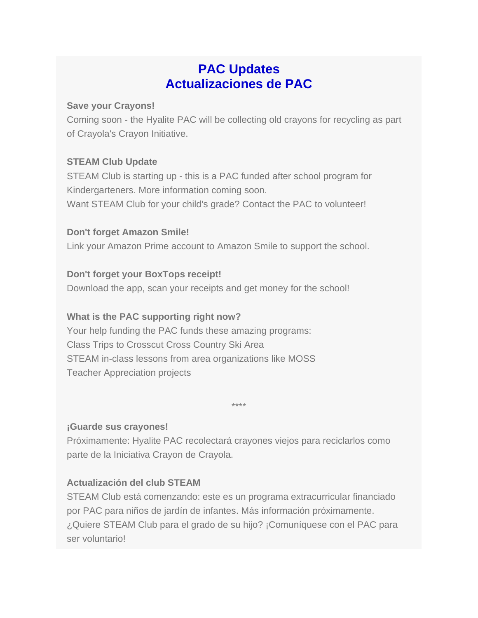# **PAC Updates Actualizaciones de PAC**

## **Save your Crayons!**

Coming soon - the Hyalite PAC will be collecting old crayons for recycling as part of Crayola's Crayon Initiative.

# **STEAM Club Update**

STEAM Club is starting up - this is a PAC funded after school program for Kindergarteners. More information coming soon.

Want STEAM Club for your child's grade? Contact the PAC to volunteer!

# **Don't forget Amazon Smile!**

Link your Amazon Prime account to Amazon Smile to support the school.

# **Don't forget your BoxTops receipt!**

Download the app, scan your receipts and get money for the school!

# **What is the PAC supporting right now?**

Your help funding the PAC funds these amazing programs: Class Trips to Crosscut Cross Country Ski Area STEAM in-class lessons from area organizations like MOSS Teacher Appreciation projects

\*\*\*\*

## **¡Guarde sus crayones!**

Próximamente: Hyalite PAC recolectará crayones viejos para reciclarlos como parte de la Iniciativa Crayon de Crayola.

# **Actualización del club STEAM**

STEAM Club está comenzando: este es un programa extracurricular financiado por PAC para niños de jardín de infantes. Más información próximamente. ¿Quiere STEAM Club para el grado de su hijo? ¡Comuníquese con el PAC para ser voluntario!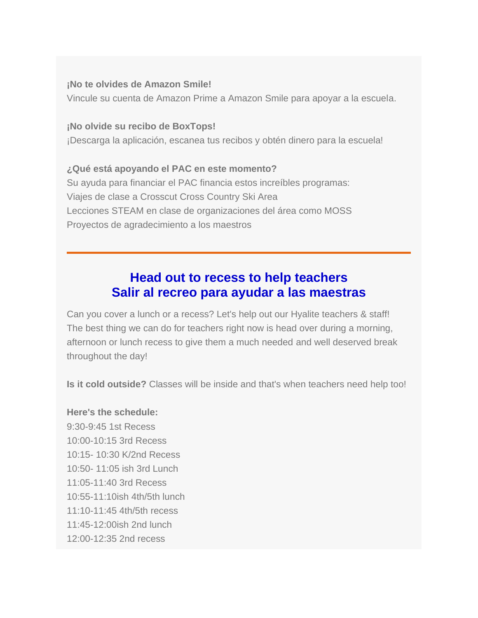#### **¡No te olvides de Amazon Smile!**

Vincule su cuenta de Amazon Prime a Amazon Smile para apoyar a la escuela.

#### **¡No olvide su recibo de BoxTops!**

¡Descarga la aplicación, escanea tus recibos y obtén dinero para la escuela!

# **¿Qué está apoyando el PAC en este momento?**

Su ayuda para financiar el PAC financia estos increíbles programas: Viajes de clase a Crosscut Cross Country Ski Area Lecciones STEAM en clase de organizaciones del área como MOSS Proyectos de agradecimiento a los maestros

# **Head out to recess to help teachers Salir al recreo para ayudar a las maestras**

Can you cover a lunch or a recess? Let's help out our Hyalite teachers & staff! The best thing we can do for teachers right now is head over during a morning, afternoon or lunch recess to give them a much needed and well deserved break throughout the day!

**Is it cold outside?** Classes will be inside and that's when teachers need help too!

### **Here's the schedule:**

9:30-9:45 1st Recess 10:00-10:15 3rd Recess 10:15- 10:30 K/2nd Recess 10:50- 11:05 ish 3rd Lunch 11:05-11:40 3rd Recess 10:55-11:10ish 4th/5th lunch 11:10-11:45 4th/5th recess 11:45-12:00ish 2nd lunch 12:00-12:35 2nd recess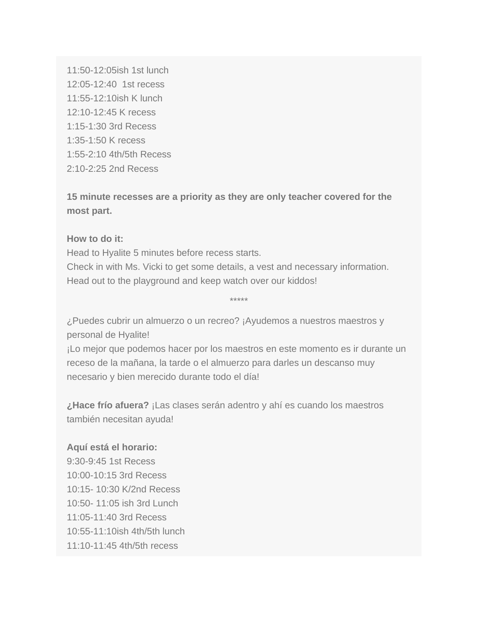11:50-12:05ish 1st lunch 12:05-12:40 1st recess 11:55-12:10ish K lunch 12:10-12:45 K recess 1:15-1:30 3rd Recess 1:35-1:50 K recess 1:55-2:10 4th/5th Recess 2:10-2:25 2nd Recess

**15 minute recesses are a priority as they are only teacher covered for the most part.**

### **How to do it:**

Head to Hyalite 5 minutes before recess starts. Check in with Ms. Vicki to get some details, a vest and necessary information. Head out to the playground and keep watch over our kiddos!

¿Puedes cubrir un almuerzo o un recreo? ¡Ayudemos a nuestros maestros y personal de Hyalite!

¡Lo mejor que podemos hacer por los maestros en este momento es ir durante un receso de la mañana, la tarde o el almuerzo para darles un descanso muy necesario y bien merecido durante todo el día!

\*\*\*\*\*

**¿Hace frío afuera?** ¡Las clases serán adentro y ahí es cuando los maestros también necesitan ayuda!

### **Aquí está el horario:**

9:30-9:45 1st Recess 10:00-10:15 3rd Recess 10:15- 10:30 K/2nd Recess 10:50- 11:05 ish 3rd Lunch 11:05-11:40 3rd Recess 10:55-11:10ish 4th/5th lunch 11:10-11:45 4th/5th recess